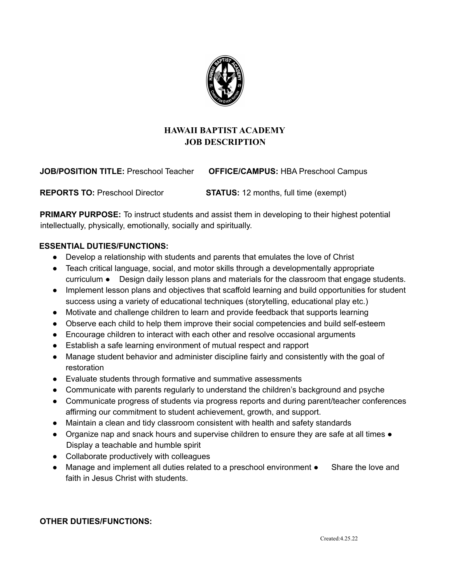

# **HAWAII BAPTIST ACADEMY JOB DESCRIPTION**

**JOB/POSITION TITLE:** Preschool Teacher **OFFICE/CAMPUS:** HBA Preschool Campus

**REPORTS TO:** Preschool Director **STATUS:** 12 months, full time (exempt)

**PRIMARY PURPOSE:** To instruct students and assist them in developing to their highest potential intellectually, physically, emotionally, socially and spiritually.

### **ESSENTIAL DUTIES/FUNCTIONS:**

- Develop a relationship with students and parents that emulates the love of Christ
- Teach critical language, social, and motor skills through a developmentally appropriate curriculum ● Design daily lesson plans and materials for the classroom that engage students.
- Implement lesson plans and objectives that scaffold learning and build opportunities for student success using a variety of educational techniques (storytelling, educational play etc.)
- Motivate and challenge children to learn and provide feedback that supports learning
- Observe each child to help them improve their social competencies and build self-esteem
- Encourage children to interact with each other and resolve occasional arguments
- Establish a safe learning environment of mutual respect and rapport
- Manage student behavior and administer discipline fairly and consistently with the goal of restoration
- Evaluate students through formative and summative assessments
- Communicate with parents regularly to understand the children's background and psyche
- Communicate progress of students via progress reports and during parent/teacher conferences affirming our commitment to student achievement, growth, and support.
- Maintain a clean and tidy classroom consistent with health and safety standards
- Organize nap and snack hours and supervise children to ensure they are safe at all times Display a teachable and humble spirit
- Collaborate productively with colleagues
- Manage and implement all duties related to a preschool environment Share the love and faith in Jesus Christ with students.

### **OTHER DUTIES/FUNCTIONS:**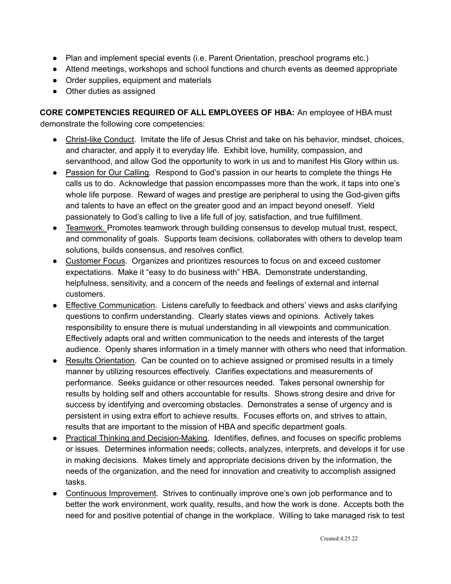- Plan and implement special events (i.e. Parent Orientation, preschool programs etc.)
- Attend meetings, workshops and school functions and church events as deemed appropriate
- Order supplies, equipment and materials
- Other duties as assigned

**CORE COMPETENCIES REQUIRED OF ALL EMPLOYEES OF HBA:** An employee of HBA must demonstrate the following core competencies:

- Christ-like Conduct. Imitate the life of Jesus Christ and take on his behavior, mindset, choices, and character, and apply it to everyday life. Exhibit love, humility, compassion, and servanthood, and allow God the opportunity to work in us and to manifest His Glory within us.
- Passion for Our Calling. Respond to God's passion in our hearts to complete the things He calls us to do. Acknowledge that passion encompasses more than the work, it taps into one's whole life purpose. Reward of wages and prestige are peripheral to using the God-given gifts and talents to have an effect on the greater good and an impact beyond oneself. Yield passionately to God's calling to live a life full of joy, satisfaction, and true fulfillment.
- Teamwork. Promotes teamwork through building consensus to develop mutual trust, respect, and commonality of goals. Supports team decisions, collaborates with others to develop team solutions, builds consensus, and resolves conflict.
- Customer Focus. Organizes and prioritizes resources to focus on and exceed customer expectations. Make it "easy to do business with" HBA. Demonstrate understanding, helpfulness, sensitivity, and a concern of the needs and feelings of external and internal customers.
- Effective Communication. Listens carefully to feedback and others' views and asks clarifying questions to confirm understanding. Clearly states views and opinions. Actively takes responsibility to ensure there is mutual understanding in all viewpoints and communication. Effectively adapts oral and written communication to the needs and interests of the target audience. Openly shares information in a timely manner with others who need that information.
- Results Orientation. Can be counted on to achieve assigned or promised results in a timely manner by utilizing resources effectively. Clarifies expectations and measurements of performance. Seeks guidance or other resources needed. Takes personal ownership for results by holding self and others accountable for results. Shows strong desire and drive for success by identifying and overcoming obstacles. Demonstrates a sense of urgency and is persistent in using extra effort to achieve results. Focuses efforts on, and strives to attain, results that are important to the mission of HBA and specific department goals.
- Practical Thinking and Decision-Making. Identifies, defines, and focuses on specific problems or issues. Determines information needs; collects, analyzes, interprets, and develops it for use in making decisions. Makes timely and appropriate decisions driven by the information, the needs of the organization, and the need for innovation and creativity to accomplish assigned tasks.
- Continuous Improvement. Strives to continually improve one's own job performance and to better the work environment, work quality, results, and how the work is done. Accepts both the need for and positive potential of change in the workplace. Willing to take managed risk to test